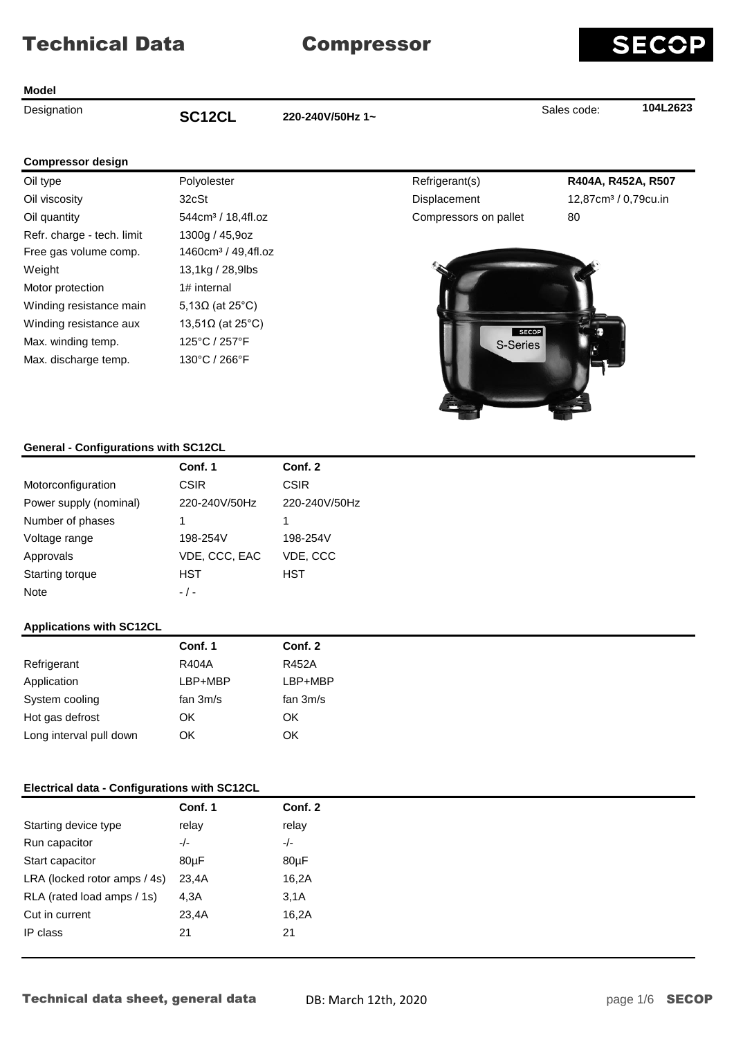## **Model**

**Designation CONFINGLE 104L2623**<br> **SCONFINGLE 1220-240V/50Hz 1~ CONFINGLE 104L2623** 

SEC

### **Compressor design**

| Oil type                   | Polyolester                     |
|----------------------------|---------------------------------|
| Oil viscosity              | 32cSt                           |
| Oil quantity               | 544cm <sup>3</sup> / 18,4fl.oz  |
| Refr. charge - tech. limit | 1300g / 45,9oz                  |
| Free gas volume comp.      | 1460cm <sup>3</sup> / 49,4fl.oz |
| Weight                     | 13,1kg / 28,9lbs                |
| Motor protection           | 1# internal                     |
| Winding resistance main    | 5,13 $\Omega$ (at 25°C)         |
| Winding resistance aux     | 13,51 $\Omega$ (at 25°C)        |
| Max. winding temp.         | 125°C / 257°F                   |
| Max. discharge temp.       | 130°C / 266°F                   |

Oil type Polyolester Refrigerant(s) **R404A, R452A, R507** Displacement 12,87cm<sup>3</sup> / 0,79cu.in Order Compressors on pallet 80



# **General - Configurations with SC12CL**

|                        | Conf. 1       | Conf. 2       |
|------------------------|---------------|---------------|
| Motorconfiguration     | <b>CSIR</b>   | <b>CSIR</b>   |
| Power supply (nominal) | 220-240V/50Hz | 220-240V/50Hz |
| Number of phases       | 1             | 1             |
| Voltage range          | 198-254V      | 198-254V      |
| Approvals              | VDE, CCC, EAC | VDE, CCC      |
| Starting torque        | HST           | HST           |
| <b>Note</b>            | $-$ / $-$     |               |

# **Applications with SC12CL**

|                         | Conf. 1    | Conf. 2    |
|-------------------------|------------|------------|
| Refrigerant             | R404A      | R452A      |
| Application             | LBP+MBP    | LBP+MBP    |
| System cooling          | fan $3m/s$ | fan $3m/s$ |
| Hot gas defrost         | OK.        | OK         |
| Long interval pull down | ΟK         | OK         |
|                         |            |            |

# **Electrical data - Configurations with SC12CL**

| Conf. 1                      | Conf. 2 |
|------------------------------|---------|
| relay                        | relay   |
| $-/-$                        | $-/-$   |
| $80\mu F$                    | 80µF    |
| 23,4A                        | 16,2A   |
| 4,3A                         | 3,1A    |
| 23,4A                        | 16,2A   |
|                              |         |
| LRA (locked rotor amps / 4s) |         |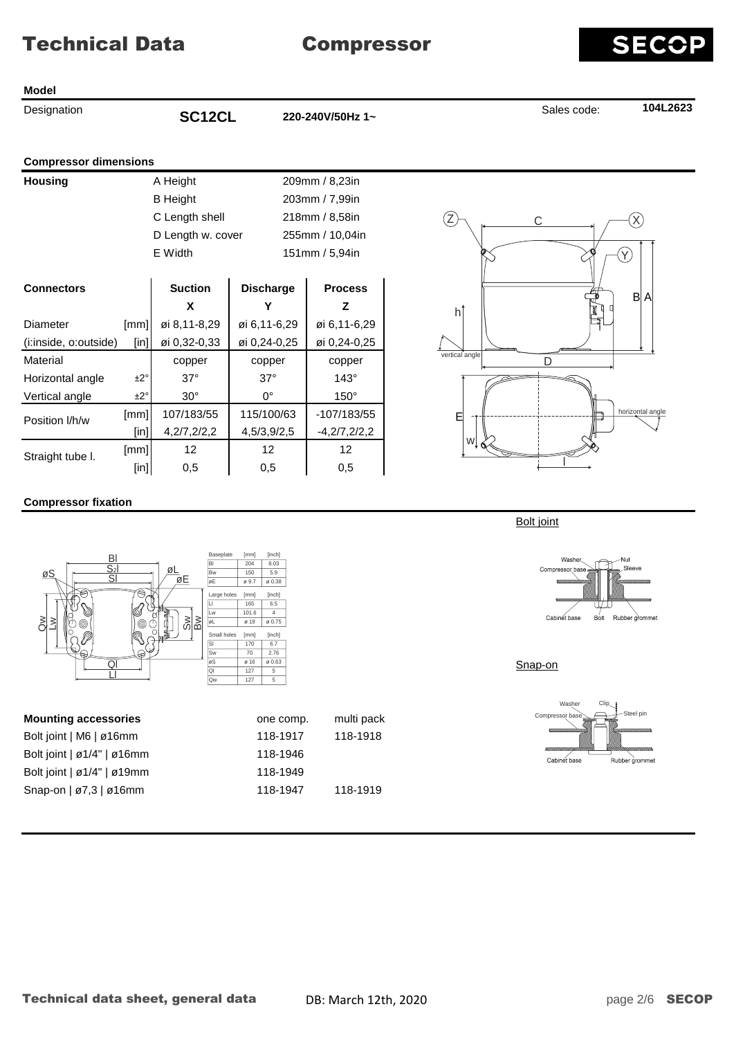#### **Model**

**Designation CONFINGLE 104L2623**<br> **SCONFINGLE 1220-240V/50Hz 1~ CONFINGLE 104L2623** 

## **Compressor dimensions**

| <b>Housing</b> | A Height          | 209mm / 8,23in  |
|----------------|-------------------|-----------------|
|                | <b>B</b> Height   | 203mm / 7,99in  |
|                | C Length shell    | 218mm / 8,58in  |
|                | D Length w. cover | 255mm / 10,04ii |
|                | E Width           | 151mm / 5,94in  |

203mm / 7,99in 218mm / 8,58in er 255mm / 10,04in 151mm / 5,94in

| <b>Connectors</b>                 |         | <b>Suction</b> | <b>Discharge</b> | <b>Process</b> |  |
|-----------------------------------|---------|----------------|------------------|----------------|--|
|                                   |         | x              |                  | z              |  |
| Diameter                          | [mm]    | øi 8,11-8,29   | øi 6,11-6,29     | øi 6,11-6,29   |  |
| (i:inside, o:outside)             | [in]]   | øi 0,32-0,33   | øi 0,24-0,25     | øi 0,24-0,25   |  |
| Material                          |         | copper         | copper           | copper         |  |
| Horizontal angle                  | ±2°     | $37^\circ$     | $37^\circ$       | $143^\circ$    |  |
| Vertical angle<br>$\pm 2^{\circ}$ |         | $30^\circ$     | 0°               | $150^\circ$    |  |
| Position I/h/w                    | [mm]    | 107/183/55     | 115/100/63       | $-107/183/55$  |  |
|                                   | $[$ in] | 4,2/7,2/2,2    | 4,5/3,9/2,5      | $-4,2/7,2/2,2$ |  |
| Straight tube I.                  | [mm]    | 12             | 12               | 12             |  |
|                                   | [in]    | 0.5            | 0.5              | 0.5            |  |



# **Compressor fixation**



**Mounting accessories comp.** The comp. multi pack Bolt joint | M6 | ø16mm 118-1917 118-1918 Bolt joint | ø1/4" | ø16mm 118-1946 Bolt joint | ø1/4" | ø19mm 118-1949 Snap-on | ø7,3 | ø16mm 118-1947 118-1919



Bolt joint



Snap-on

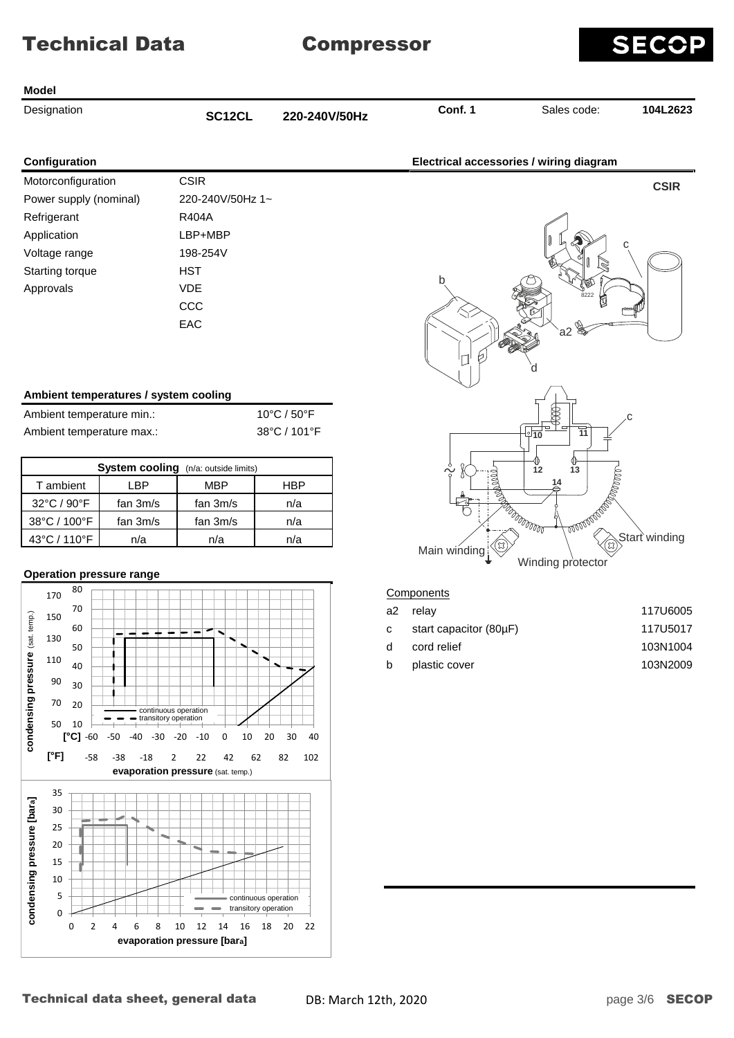

#### **Model**

| Designation |  |
|-------------|--|
|             |  |

Designation **Conf. 1** Sales code: **104L2623 SC12CL 220-240V/50Hz**

| Configuration          |                  |
|------------------------|------------------|
| Motorconfiguration     | CSIR             |
| Power supply (nominal) | 220-240V/50Hz 1~ |
| Refrigerant            | R404A            |
| Application            | LBP+MBP          |
| Voltage range          | 198-254V         |
| Starting torque        | HST              |
| Approvals              | VDF              |
|                        | CCC.             |
|                        | EAC.             |

## **Ambient temperatures / system cooling**

| Ambient temperature min.: | 10°C / 50°F  |
|---------------------------|--------------|
| Ambient temperature max.: | 38°C / 101°F |

| <b>System cooling</b> (n/a: outside limits) |            |            |     |  |  |  |  |  |  |
|---------------------------------------------|------------|------------|-----|--|--|--|--|--|--|
| T ambient                                   | -RP        | MBP        | HBP |  |  |  |  |  |  |
| 32°C / 90°F                                 | fan $3m/s$ | fan 3m/s   | n/a |  |  |  |  |  |  |
| 38°C / 100°F                                | fan $3m/s$ | fan $3m/s$ | n/a |  |  |  |  |  |  |
| 43°C / 110°F                                | n/a        | n/a        | n/a |  |  |  |  |  |  |

## **Operation pressure range**





#### **Components**

| a2 relav               | 117U6005 |
|------------------------|----------|
| start capacitor (80µF) | 117U5017 |
| cord relief            | 103N1004 |
| plastic cover          | 103N2009 |
|                        |          |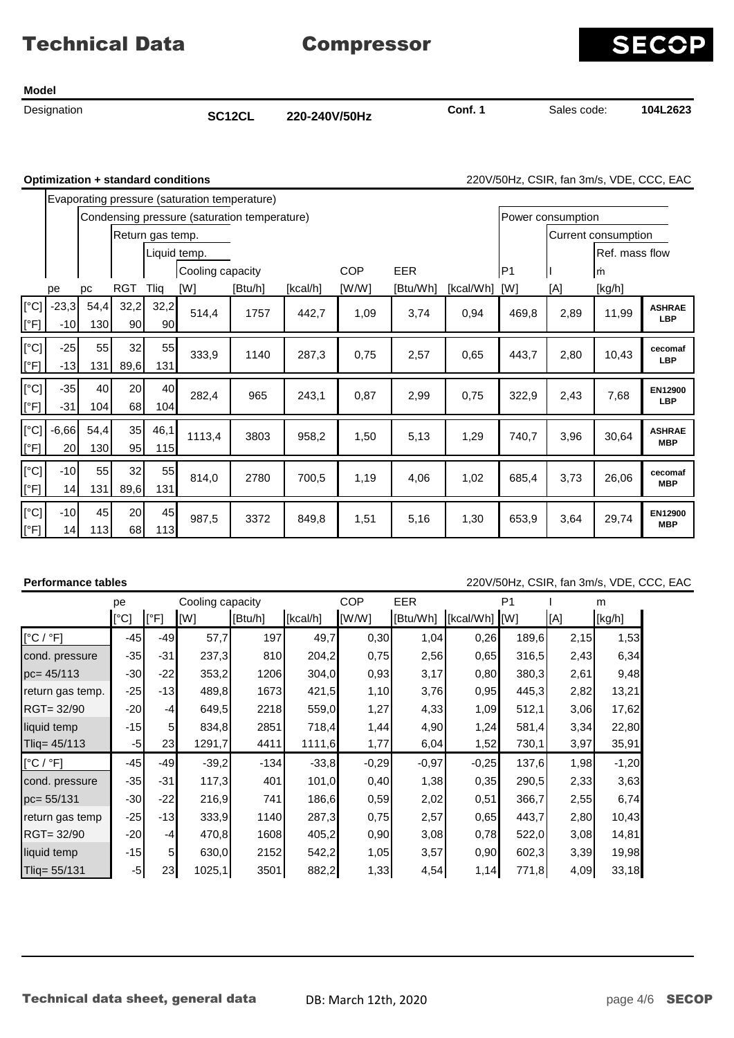**Model**

Designation **Conf. 1** Sales code: **104L2623 SC12CL 220-240V/50Hz**

**SECOP** 

**Optimization + standard conditions** 220V/50Hz, CSIR, fan 3m/s, VDE, CCC, EAC

|                       |                            | Evaporating pressure (saturation temperature) |                  |             |                                              |         |                   |                     |            |           |       |      |                |                             |
|-----------------------|----------------------------|-----------------------------------------------|------------------|-------------|----------------------------------------------|---------|-------------------|---------------------|------------|-----------|-------|------|----------------|-----------------------------|
|                       |                            |                                               |                  |             | Condensing pressure (saturation temperature) |         | Power consumption |                     |            |           |       |      |                |                             |
|                       |                            |                                               | Return gas temp. |             |                                              |         |                   | Current consumption |            |           |       |      |                |                             |
|                       |                            |                                               |                  |             | Liquid temp.                                 |         |                   |                     |            |           |       |      | Ref. mass flow |                             |
|                       |                            |                                               |                  |             | Cooling capacity                             |         |                   | <b>COP</b>          | <b>EER</b> |           | IP1   |      | m              |                             |
|                       | рe                         | рc                                            | RGT              | Tlig        | [W]                                          | [Btu/h] | [kcal/h]          | [W/W]               | [Btu/Wh]   | [kcal/Wh] | [W]   | [A]  | [kg/h]         |                             |
| [°C]<br>[°F]          | $-23,3$<br>$-10$           | 54,4<br>130                                   | 32,2<br>90       | 32,2<br>90  | 514,4                                        | 1757    | 442,7             | 1,09                | 3,74       | 0,94      | 469,8 | 2,89 | 11,99          | <b>ASHRAE</b><br><b>LBP</b> |
| [°C]<br>[°F]          | $-25$<br>$-13$             | 55<br>131                                     | 32<br>89,6       | 55<br>131   | 333,9                                        | 1140    | 287,3             | 0,75                | 2,57       | 0.65      | 443,7 | 2,80 | 10,43          | cecomaf<br><b>LBP</b>       |
| [°C]<br>[°F]          | $-35$<br>$-31$             | 40<br>104                                     | 20<br>68         | 40<br>104   | 282,4                                        | 965     | 243,1             | 0,87                | 2,99       | 0,75      | 322,9 | 2,43 | 7,68           | EN12900<br><b>LBP</b>       |
| $[^{\circ}C]$<br>[°F] | $-6,66$<br>20 <sub>l</sub> | 54,4<br>130                                   | 35<br>95         | 46,1<br>115 | 1113,4                                       | 3803    | 958,2             | 1,50                | 5,13       | 1,29      | 740,7 | 3,96 | 30,64          | <b>ASHRAE</b><br><b>MBP</b> |
| [°C]<br>[°F]          | $-10$<br>14                | 55<br>131                                     | 32<br>89,6       | 55<br>131   | 814,0                                        | 2780    | 700,5             | 1,19                | 4,06       | 1,02      | 685,4 | 3,73 | 26,06          | cecomaf<br><b>MBP</b>       |
| [°C]<br>[°F]          | $-10$<br>14                | 45<br>113                                     | 20<br>68         | 45<br>113   | 987,5                                        | 3372    | 849,8             | 1,51                | 5,16       | 1,30      | 653,9 | 3,64 | 29,74          | EN12900<br><b>MBP</b>       |

### **Performance tables** 220V/50Hz, CSIR, fan 3m/s, VDE, CCC, EAC

|                  | Cooling capacity<br>pe |                 |         |         | COP      | <b>EER</b> |          | P <sub>1</sub> | m     |      |         |
|------------------|------------------------|-----------------|---------|---------|----------|------------|----------|----------------|-------|------|---------|
|                  | [°C]                   | [°F]            | [W]     | [Btu/h] | [kcal/h] | [W/W]      | [Btu/Wh] | [kcal/Wh] [W]  |       | [A]  | [kg/h]  |
| [°C/°F]          | $-45$                  | $-49$           | 57,7    | 197     | 49,7     | 0,30       | 1,04     | 0,26           | 189,6 | 2,15 | 1,53    |
| cond. pressure   | $-35$                  | $-31$           | 237,3   | 810     | 204,2    | 0,75       | 2,56     | 0,65           | 316,5 | 2,43 | 6,34    |
| $pc = 45/113$    | $-30$                  | $-22$           | 353,2   | 1206    | 304,0    | 0,93       | 3,17     | 0,80           | 380,3 | 2,61 | 9,48    |
| return gas temp. | $-25$                  | $-13$           | 489,8   | 1673    | 421,5    | 1,10       | 3,76     | 0,95           | 445,3 | 2,82 | 13,21   |
| RGT= 32/90       | $-20$                  | $-4$            | 649,5   | 2218    | 559,0    | 1,27       | 4,33     | 1,09           | 512,1 | 3,06 | 17,62   |
| liquid temp      | $-15$                  | 5 <sub>l</sub>  | 834,8   | 2851    | 718,4    | 1,44       | 4,90     | 1,24           | 581,4 | 3,34 | 22,80   |
| Tliq= 45/113     | $-5$                   | 23 <sub>l</sub> | 1291,7  | 4411    | 1111,6   | 1,77       | 6,04     | 1,52           | 730,1 | 3,97 | 35,91   |
| [°C/°F]          | $-45$                  | $-49$           | $-39,2$ | $-134$  | $-33,8$  | $-0,29$    | $-0,97$  | $-0,25$        | 137,6 | 1,98 | $-1,20$ |
| cond. pressure   | $-35$                  | $-31$           | 117,3   | 401     | 101,0    | 0,40       | 1,38     | 0,35           | 290,5 | 2,33 | 3,63    |
| pc= 55/131       | $-30$                  | $-22$           | 216,9   | 741     | 186,6    | 0,59       | 2,02     | 0,51           | 366,7 | 2,55 | 6,74    |
| return gas temp  | $-25$                  | $-13$           | 333,9   | 1140    | 287,3    | 0,75       | 2,57     | 0,65           | 443,7 | 2,80 | 10,43   |
| RGT= 32/90       | $-20$                  | $-4$            | 470,8   | 1608    | 405,2    | 0,90       | 3,08     | 0,78           | 522,0 | 3,08 | 14,81   |
| liquid temp      | $-15$                  | 5 <sub>l</sub>  | 630,0   | 2152    | 542,2    | 1,05       | 3,57     | 0,90           | 602,3 | 3,39 | 19,98   |
| Tliq= 55/131     | $-5$                   | 23              | 1025,1  | 3501    | 882,2    | 1,33       | 4,54     | 1,14           | 771,8 | 4,09 | 33,18   |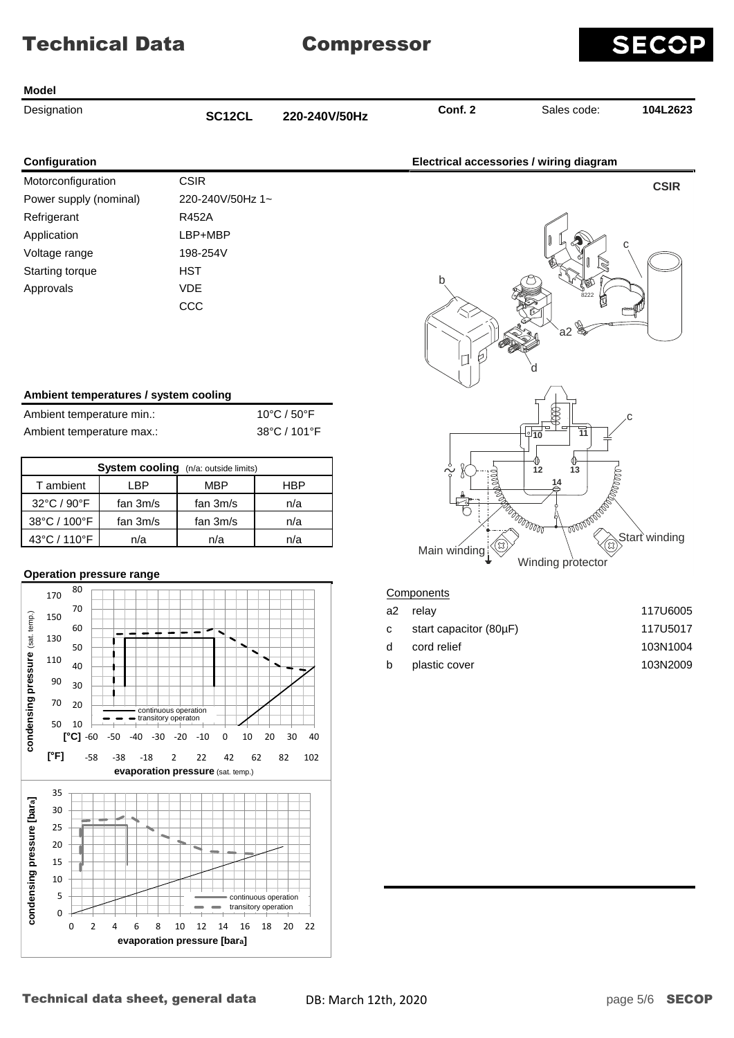

#### **Model**

| <b>Designation</b> |  |
|--------------------|--|

Designation **Conf. 2** Sales code: **104L2623 SC12CL 220-240V/50Hz**

| Configuration          |                  |
|------------------------|------------------|
| Motorconfiguration     | <b>CSIR</b>      |
| Power supply (nominal) | 220-240V/50Hz 1~ |
| Refrigerant            | R452A            |
| Application            | LBP+MBP          |
| Voltage range          | 198-254V         |
| <b>Starting torque</b> | HST              |
| Approvals              | VDF              |
|                        |                  |

| Ambient temperature min.: | 10°C / $50^{\circ}$ F |
|---------------------------|-----------------------|
| Ambient temperature max.: | 38°C / 101°F          |

| System cooling (n/a: outside limits) |            |            |     |  |  |  |  |  |  |
|--------------------------------------|------------|------------|-----|--|--|--|--|--|--|
| T ambient                            | -RP        | MBP        | HBP |  |  |  |  |  |  |
| 32°C / 90°F                          | fan $3m/s$ | fan 3m/s   | n/a |  |  |  |  |  |  |
| 38°C / 100°F                         | fan 3m/s   | fan $3m/s$ | n/a |  |  |  |  |  |  |
| 43°C / 110°F                         | n/a        | n/a        | n/a |  |  |  |  |  |  |

## **Operation pressure range**





#### **Components**

| a2 relav               | 117U6005 |
|------------------------|----------|
| start capacitor (80µF) | 117U5017 |
| cord relief            | 103N1004 |
| plastic cover          | 103N2009 |
|                        |          |